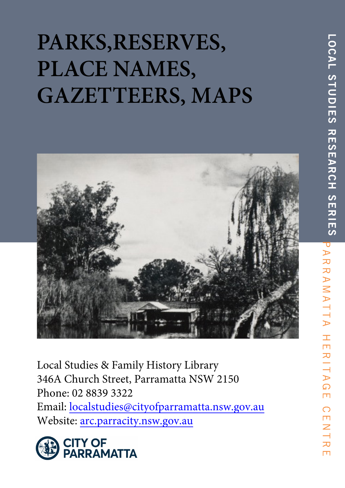# **PARKS,RESERVES, PLACE NAMES, GAZETTEERS, MAPS**



Local Studies & Family History Library 346A Church Street, Parramatta NSW 2150 Phone: 02 8839 3322 Email: localstudies@cityofparramatta.nsw.gov.au Website: arc.parracity.nsw.gov.au



 $\overline{Z}$  $\overline{\phantom{0}}$ 

力  $\Box$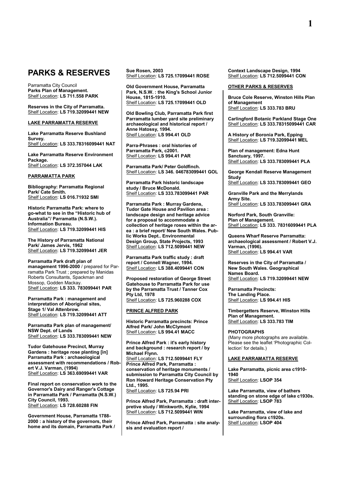## **PARKS & RESERVES**

Parramatta City Council **Parks Plan of Management.** Shelf Location: **LS 711.558 PARK**

**Reserves in the City of Parramatta.** Shelf Location: **LS 719.32099441 NEW**

#### **LAKE PARRAMATTA RESERVE**

**Lake Parramatta Reserve Bushland Survey.** Shelf Location: **LS 333.78316099441 NAT**

**Lake Parramatta Reserve Environment Package.** Shelf Location: **LS 372.357044 LAK**

#### **PARRAMATTA PARK**

**Bibliography: Parramatta Regional Park/ Cate Smith.** Shelf Location: **LS 016.71932 SMI**

**Historic Parramatta Park: where to go-what to see in the "Historic hub of Australia"/ Parramatta (N.S.W.). Information Bureau.** Shelf Location: **LS 719.32099441 HIS**

**The History of Parramatta National Park/ James Jervis, 1962** Shelf Location: **LS 719.32099441 JER**

**Parramatta Park draft plan of management 1996-2000** / prepared for Parramatta Park Trust ; prepared by Manidas Roberts Consultants, Spackman and Mossop, Godden Mackay. Shelf Location: **LS 333. 783099441 PAR**

**Parramatta Park : management and interpretation of Aboriginal sites, Stage 1/ Val Attenbrow.** Shelf Location: **LS 719.32099441 ATT**

**Parramatta Park plan of management/ NSW Dept. of Lands** Shelf Location: **LS 333.783099441 NEW**

**Tudor Gatehouse Precinct, Murray Gardens : heritage rose planting [in] Parramatta Park : archaeological assessment with recommendations / Robert V.J. Varman, (1994)** Shelf Location: **LS 363.69099441 VAR**

**Final report on conservation work to the Governor's Dairy and Ranger's Cottage in Parramatta Park / Parramatta (N.S.W.) City Council, 1993.** Shelf Location: **LS 728.60288 FIN**

**Government House, Parramatta 1788- 2000 : a history of the governors, their home and its domain, Parramatta Park /**  **Sue Rosen, 2003** Shelf Location: **LS 725.17099441 ROSE**

**Old Government House, Parramatta Park, N.S.W. : the King's School Junior House, 1815-1910.** Shelf Location: **LS 725.17099441 OLD**

**Old Bowling Club, Parramatta Park first Parramatta lumber yard site preliminary archaeological and historical report / Anne Hatossy, 1994.** Shelf Location: **LS 994.41 OLD**

**Parra-Phrases : oral histories of Parramatta Park, c2001.** Shelf Location: **LS 994.41 PAR**

**Parramatta Park/ Peter Goldfinch.** Shelf Location: **LS 346. 046783099441 GOL**

**Parramatta Park historic landscape study / Bruce McDonald.** Shelf Location: **LS 333.783099441 PAR**

**Parramatta Park : Murray Gardens, Tudor Gate House and Pavilion area : landscape design and heritage advice for a proposal to accommodate a collection of heritage roses within the area : a brief report/ New South Wales. Public Works Dept.. Environmental Design Group, State Projects, 1993** Shelf Location: **LS 712.5099441 NEW**

**Parramatta Park traffic study : draft report / Connell Wagner, 1994.** Shelf Location: **LS 388.4099441 CON**

**Proposed restoration of George Street Gatehouse to Parramatta Park for use by the Parramatta Trust / Tanner Cox Pty Ltd, 1978** Shelf Location: **LS 725.960288 COX**

#### **PRINCE ALFRED PARK**

**Historic Parramatta precincts: Prince Alfred Park/ John McClymont** Shelf Location: **LS 994.41 MACC**

**Prince Alfred Park : it's early history and background : research report / by Michael Flynn.** Shelf Location: **LS 712.5099441 FLY Prince Alfred Park, Parramatta : conservation of heritage monuments / submission to Parramatta City Council by Ron Howard Heritage Conservation Pty Ltd., 1995.**

Shelf Location: **LS 725.94 PRI**

**Prince Alfred Park, Parramatta : draft interpretive study / Winkworth, Kylie, 1994** Shelf Location: **LS 712.5099441 WIN**

**Prince Alfred Park, Parramatta : site analysis and evaluation report /** 

**Context Landscape Design, 1994** Shelf Location: **LS 712.5099441 CON**

#### **OTHER PARKS & RESERVES**

**Bruce Cole Reserve, Winston Hills Plan of Management** Shelf Location: **LS 333.783 BRU**

**Carlingford Botanic Parkland Stage One** Shelf Location: **LS 333.78315099441 CAR**

**A History of Boronia Park, Epping** Shelf Location: **LS 719.32099441 MEL**

**Plan of management: Edna Hunt Sanctuary, 1997.** Shelf Location: **LS 333.783099441 PLA**

**George Kendall Reserve Management Study** Shelf Location: **LS 333.783099441 GEO**

**Granville Park and the Merrylands Army Site.** Shelf Location: **LS 333.783099441 GRA**

**Norford Park, South Granville: Plan of Management.** Shelf Location: **LS 333. 78316099441 PLA**

**Queens Wharf Reserve Parramatta: archaeological assessment / Robert V.J. Varman, (1996).** Shelf Location: **LS 994.41 VAR**

**Reserves in the City of Parramatta / New South Wales. Geographical Names Board.** Shelf Location: **LS 719.32099441 NEW**

**Parramatta Precincts: The Landing Place.** Shelf Location: **LS 994.41 HIS**

**Timbergetters Reserve, Winston Hills Plan of Management.** Shelf Location: **LS 333.783 TIM**

**PHOTOGRAPHS**  (Many more photographs are available. Please see the leaflet 'Photographic Collection' for details.)

#### **LAKE PARRAMATTA RESERVE**

**Lake Parramatta, picnic area c1910- 1940** Shelf Location: **LSOP 354**

**Lake Parramatta, view of bathers standing on stone edge of lake c1930s.** Shelf Location: **LSOP 783**

**Lake Parramatta, view of lake and surrounding flora c1920s.** Shelf Location: **LSOP 404**